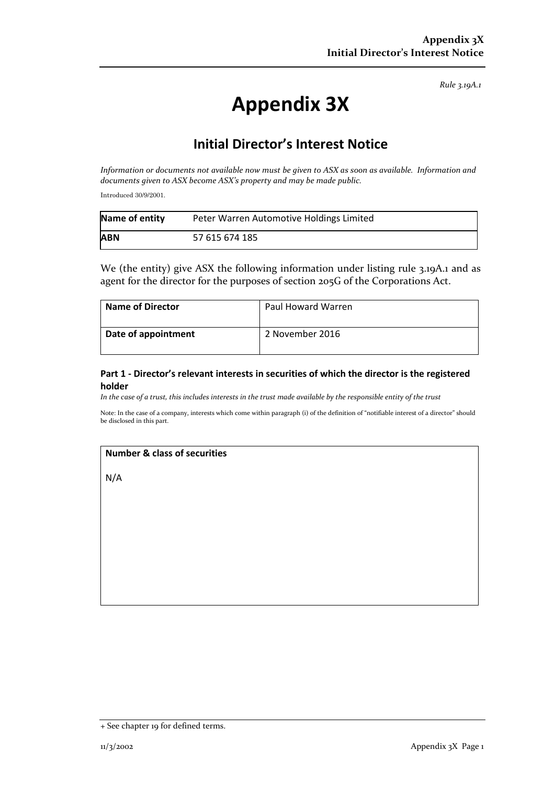*Rule 3.19A.1*

# **Appendix 3X**

# **Initial Director's Interest Notice**

*Information or documents not available now must be given to ASX as soon as available. Information and documents given to ASX become ASX's property and may be made public.*

Introduced 30/9/2001.

| Name of entity | Peter Warren Automotive Holdings Limited |
|----------------|------------------------------------------|
| <b>ABN</b>     | 57 615 674 185                           |

We (the entity) give ASX the following information under listing rule 3.19A.1 and as agent for the director for the purposes of section 205G of the Corporations Act.

| <b>Name of Director</b> | Paul Howard Warren |
|-------------------------|--------------------|
| Date of appointment     | 2 November 2016    |

## **Part 1 - Director's relevant interests in securities of which the director is the registered holder**

*In the case of a trust, this includes interests in the trust made available by the responsible entity of the trust*

Note: In the case of a company, interests which come within paragraph (i) of the definition of "notifiable interest of a director" should be disclosed in this part.

#### **Number & class of securities**

N/A

<sup>+</sup> See chapter 19 for defined terms.